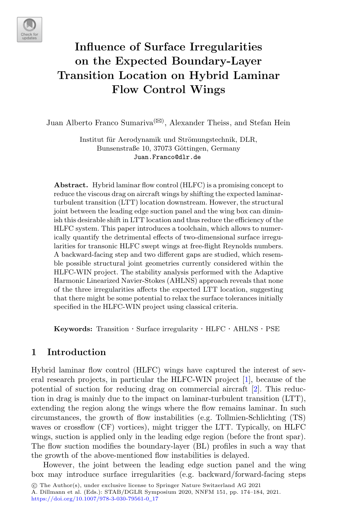

# **Influence of Surface Irregularities on the Expected Boundary-Layer Transition Location on Hybrid Laminar Flow Control Wings**

Juan Alberto Franco Sumariva<sup>( $\boxtimes$ )</sup>, Alexander Theiss, and Stefan Hein

Institut für Aerodynamik und Strömungstechnik, DLR, Bunsenstraße 10, 37073 Göttingen, Germany Juan.Franco@dlr.de

**Abstract.** Hybrid laminar flow control (HLFC) is a promising concept to reduce the viscous drag on aircraft wings by shifting the expected laminarturbulent transition (LTT) location downstream. However, the structural joint between the leading edge suction panel and the wing box can diminish this desirable shift in LTT location and thus reduce the efficiency of the HLFC system. This paper introduces a toolchain, which allows to numerically quantify the detrimental effects of two-dimensional surface irregularities for transonic HLFC swept wings at free-flight Reynolds numbers. A backward-facing step and two different gaps are studied, which resemble possible structural joint geometries currently considered within the HLFC-WIN project. The stability analysis performed with the Adaptive Harmonic Linearized Navier-Stokes (AHLNS) approach reveals that none of the three irregularities affects the expected LTT location, suggesting that there might be some potential to relax the surface tolerances initially specified in the HLFC-WIN project using classical criteria.

**Keywords:** Transition · Surface irregularity · HLFC · AHLNS · PSE

# **1 Introduction**

Hybrid laminar flow control (HLFC) wings have captured the interest of several research projects, in particular the HLFC-WIN project [\[1](#page-9-0)], because of the potential of suction for reducing drag on commercial aircraft [\[2](#page-9-1)]. This reduction in drag is mainly due to the impact on laminar-turbulent transition (LTT), extending the region along the wings where the flow remains laminar. In such circumstances, the growth of flow instabilities (e.g. Tollmien-Schlichting (TS) waves or crossflow (CF) vortices), might trigger the LTT. Typically, on HLFC wings, suction is applied only in the leading edge region (before the front spar). The flow suction modifies the boundary-layer (BL) profiles in such a way that the growth of the above-mentioned flow instabilities is delayed.

However, the joint between the leading edge suction panel and the wing box may introduce surface irregularities (e.g. backward/forward-facing steps

A. Dillmann et al. (Eds.): STAB/DGLR Symposium 2020, NNFM 151, pp. 174–184, 2021. [https://doi.org/10.1007/978-3-030-79561-0](https://doi.org/10.1007/978-3-030-79561-0_17)\_17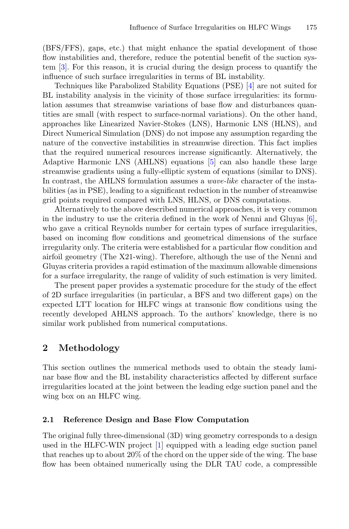(BFS/FFS), gaps, etc.) that might enhance the spatial development of those flow instabilities and, therefore, reduce the potential benefit of the suction system [\[3\]](#page-9-2). For this reason, it is crucial during the design process to quantify the influence of such surface irregularities in terms of BL instability.

Techniques like Parabolized Stability Equations (PSE) [\[4\]](#page-9-3) are not suited for BL instability analysis in the vicinity of those surface irregularities: its formulation assumes that streamwise variations of base flow and disturbances quantities are small (with respect to surface-normal variations). On the other hand, approaches like Linearized Navier-Stokes (LNS), Harmonic LNS (HLNS), and Direct Numerical Simulation (DNS) do not impose any assumption regarding the nature of the convective instabilities in streamwise direction. This fact implies that the required numerical resources increase significantly. Alternatively, the Adaptive Harmonic LNS (AHLNS) equations [\[5](#page-9-4)] can also handle these large streamwise gradients using a fully-elliptic system of equations (similar to DNS). In contrast, the AHLNS formulation assumes a *wave-like* character of the instabilities (as in PSE), leading to a significant reduction in the number of streamwise grid points required compared with LNS, HLNS, or DNS computations.

Alternatively to the above described numerical approaches, it is very common in the industry to use the criteria defined in the work of Nenni and Gluyas  $[6]$ , who gave a critical Reynolds number for certain types of surface irregularities, based on incoming flow conditions and geometrical dimensions of the surface irregularity only. The criteria were established for a particular flow condition and airfoil geometry (The X21-wing). Therefore, although the use of the Nenni and Gluyas criteria provides a rapid estimation of the maximum allowable dimensions for a surface irregularity, the range of validity of such estimation is very limited.

The present paper provides a systematic procedure for the study of the effect of 2D surface irregularities (in particular, a BFS and two different gaps) on the expected LTT location for HLFC wings at transonic flow conditions using the recently developed AHLNS approach. To the authors' knowledge, there is no similar work published from numerical computations.

# **2 Methodology**

This section outlines the numerical methods used to obtain the steady laminar base flow and the BL instability characteristics affected by different surface irregularities located at the joint between the leading edge suction panel and the wing box on an HLFC wing.

#### **2.1 Reference Design and Base Flow Computation**

The original fully three-dimensional (3D) wing geometry corresponds to a design used in the HLFC-WIN project [\[1](#page-9-0)] equipped with a leading edge suction panel that reaches up to about 20% of the chord on the upper side of the wing. The base flow has been obtained numerically using the DLR TAU code, a compressible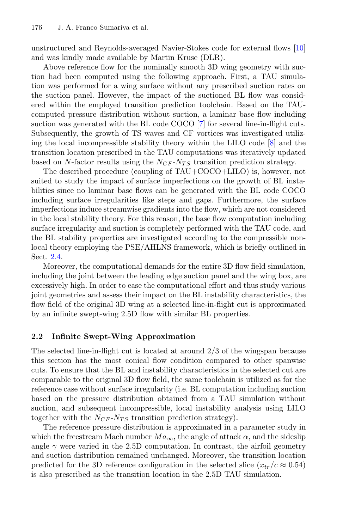unstructured and Reynolds-averaged Navier-Stokes code for external flows [\[10](#page-10-0)] and was kindly made available by Martin Kruse (DLR).

Above reference flow for the nominally smooth 3D wing geometry with suction had been computed using the following approach. First, a TAU simulation was performed for a wing surface without any prescribed suction rates on the suction panel. However, the impact of the suctioned BL flow was considered within the employed transition prediction toolchain. Based on the TAUcomputed pressure distribution without suction, a laminar base flow including suction was generated with the BL code COCO [\[7\]](#page-9-6) for several line-in-flight cuts. Subsequently, the growth of TS waves and CF vortices was investigated utilizing the local incompressible stability theory within the LILO code [\[8\]](#page-9-7) and the transition location prescribed in the TAU computations was iteratively updated based on N-factor results using the  $N_{CF}$ - $N_{TS}$  transition prediction strategy.

The described procedure (coupling of TAU+COCO+LILO) is, however, not suited to study the impact of surface imperfections on the growth of BL instabilities since no laminar base flows can be generated with the BL code COCO including surface irregularities like steps and gaps. Furthermore, the surface imperfections induce streamwise gradients into the flow, which are not considered in the local stability theory. For this reason, the base flow computation including surface irregularity and suction is completely performed with the TAU code, and the BL stability properties are investigated according to the compressible nonlocal theory employing the PSE/AHLNS framework, which is briefly outlined in Sect. [2.4.](#page-4-0)

Moreover, the computational demands for the entire 3D flow field simulation, including the joint between the leading edge suction panel and the wing box, are excessively high. In order to ease the computational effort and thus study various joint geometries and assess their impact on the BL instability characteristics, the flow field of the original 3D wing at a selected line-in-flight cut is approximated by an infinite swept-wing 2.5D flow with similar BL properties.

## <span id="page-2-0"></span>**2.2 Infinite Swept-Wing Approximation**

The selected line-in-flight cut is located at around 2/3 of the wingspan because this section has the most conical flow condition compared to other spanwise cuts. To ensure that the BL and instability characteristics in the selected cut are comparable to the original 3D flow field, the same toolchain is utilized as for the reference case without surface irregularity (i.e. BL computation including suction based on the pressure distribution obtained from a TAU simulation without suction, and subsequent incompressible, local instability analysis using LILO together with the  $N_{CF}$ - $N_{TS}$  transition prediction strategy).

The reference pressure distribution is approximated in a parameter study in which the freestream Mach number  $Ma_{\infty}$ , the angle of attack  $\alpha$ , and the sideslip angle  $\gamma$  were varied in the 2.5D computation. In contrast, the airfoil geometry and suction distribution remained unchanged. Moreover, the transition location predicted for the 3D reference configuration in the selected slice  $(x_{tr}/c \approx 0.54)$ is also prescribed as the transition location in the 2.5D TAU simulation.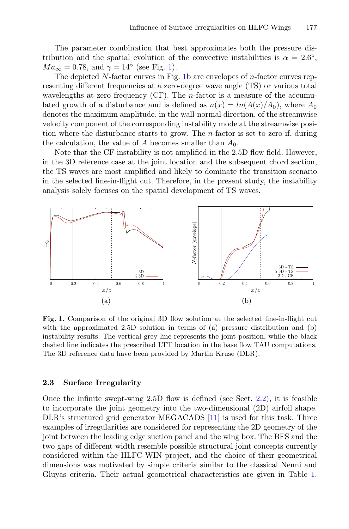The parameter combination that best approximates both the pressure distribution and the spatial evolution of the convective instabilities is  $\alpha = 2.6°$ .  $Ma_{\infty} = 0.78$ , and  $\gamma = 14^{\circ}$  (see Fig. [1\)](#page-3-0).

The depicted N-factor curves in Fig. [1b](#page-3-0) are envelopes of n-factor curves representing different frequencies at a zero-degree wave angle (TS) or various total wavelengths at zero frequency (CF). The *n*-factor is a measure of the accumulated growth of a disturbance and is defined as  $n(x) = ln(A(x)/A_0)$ , where  $A_0$ denotes the maximum amplitude, in the wall-normal direction, of the streamwise velocity component of the corresponding instability mode at the streamwise position where the disturbance starts to grow. The n-factor is set to zero if, during the calculation, the value of A becomes smaller than  $A_0$ .

Note that the CF instability is not amplified in the 2.5D flow field. However, in the 3D reference case at the joint location and the subsequent chord section, the TS waves are most amplified and likely to dominate the transition scenario in the selected line-in-flight cut. Therefore, in the present study, the instability analysis solely focuses on the spatial development of TS waves.



<span id="page-3-0"></span>**Fig. 1.** Comparison of the original 3D flow solution at the selected line-in-flight cut with the approximated 2.5D solution in terms of (a) pressure distribution and (b) instability results. The vertical grey line represents the joint position, while the black dashed line indicates the prescribed LTT location in the base flow TAU computations. The 3D reference data have been provided by Martin Kruse (DLR).

#### **2.3 Surface Irregularity**

Once the infinite swept-wing 2.5D flow is defined (see Sect. [2.2\)](#page-2-0), it is feasible to incorporate the joint geometry into the two-dimensional (2D) airfoil shape. DLR's structured grid generator MEGACADS [\[11](#page-10-1)] is used for this task. Three examples of irregularities are considered for representing the 2D geometry of the joint between the leading edge suction panel and the wing box. The BFS and the two gaps of different width resemble possible structural joint concepts currently considered within the HLFC-WIN project, and the choice of their geometrical dimensions was motivated by simple criteria similar to the classical Nenni and Gluyas criteria. Their actual geometrical characteristics are given in Table [1.](#page-4-1)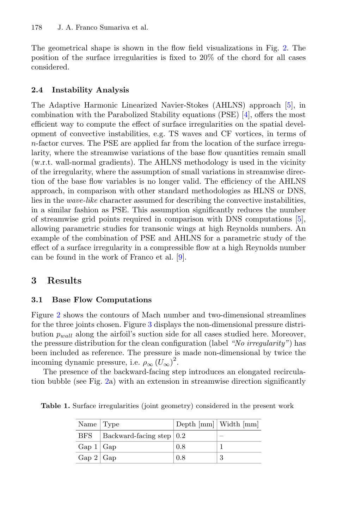The geometrical shape is shown in the flow field visualizations in Fig. [2.](#page-6-0) The position of the surface irregularities is fixed to 20% of the chord for all cases considered.

## <span id="page-4-0"></span>**2.4 Instability Analysis**

The Adaptive Harmonic Linearized Navier-Stokes (AHLNS) approach [\[5\]](#page-9-4), in combination with the Parabolized Stability equations (PSE) [\[4](#page-9-3)], offers the most efficient way to compute the effect of surface irregularities on the spatial development of convective instabilities, e.g. TS waves and CF vortices, in terms of n-factor curves. The PSE are applied far from the location of the surface irregularity, where the streamwise variations of the base flow quantities remain small (w.r.t. wall-normal gradients). The AHLNS methodology is used in the vicinity of the irregularity, where the assumption of small variations in streamwise direction of the base flow variables is no longer valid. The efficiency of the AHLNS approach, in comparison with other standard methodologies as HLNS or DNS, lies in the *wave-like* character assumed for describing the convective instabilities, in a similar fashion as PSE. This assumption significantly reduces the number of streamwise grid points required in comparison with DNS computations [\[5\]](#page-9-4), allowing parametric studies for transonic wings at high Reynolds numbers. An example of the combination of PSE and AHLNS for a parametric study of the effect of a surface irregularity in a compressible flow at a high Reynolds number can be found in the work of Franco et al. [\[9\]](#page-9-8).

# **3 Results**

#### <span id="page-4-2"></span>**3.1 Base Flow Computations**

Figure [2](#page-6-0) shows the contours of Mach number and two-dimensional streamlines for the three joints chosen. Figure [3](#page-7-0) displays the non-dimensional pressure distribution  $p_{wall}$  along the airfoil's suction side for all cases studied here. Moreover, the pressure distribution for the clean configuration (label *"No irregularity"*) has been included as reference. The pressure is made non-dimensional by twice the incoming dynamic pressure, i.e.  $\rho_{\infty} (U_{\infty})^2$ .

The presence of the backward-facing step introduces an elongated recirculation bubble (see Fig. [2a](#page-6-0)) with an extension in streamwise direction significantly

<span id="page-4-1"></span>

| Name $\vert$ Type |                                          | Depth $\lfloor \text{mm} \rfloor$ Width $\lfloor \text{mm} \rfloor$ |                          |
|-------------------|------------------------------------------|---------------------------------------------------------------------|--------------------------|
| <b>BFS</b>        | Backward-facing step $\vert 0.2 \rangle$ |                                                                     | $\overline{\phantom{a}}$ |
| Gap 1 Gap         |                                          | 0.8                                                                 |                          |
| Gap 2 Gap         |                                          | 0.8                                                                 |                          |

**Table 1.** Surface irregularities (joint geometry) considered in the present work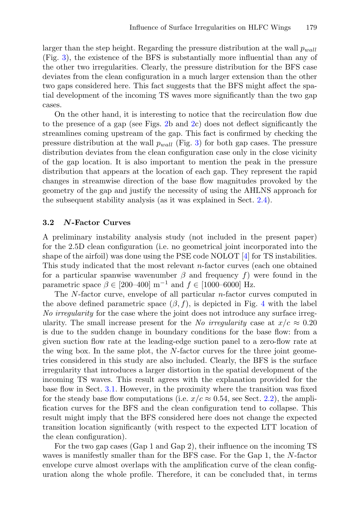larger than the step height. Regarding the pressure distribution at the wall  $p_{wall}$ (Fig. [3\)](#page-7-0), the existence of the BFS is substantially more influential than any of the other two irregularities. Clearly, the pressure distribution for the BFS case deviates from the clean configuration in a much larger extension than the other two gaps considered here. This fact suggests that the BFS might affect the spatial development of the incoming TS waves more significantly than the two gap cases.

On the other hand, it is interesting to notice that the recirculation flow due to the presence of a gap (see Figs. [2b](#page-6-0) and [2c](#page-6-0)) does not deflect significantly the streamlines coming upstream of the gap. This fact is confirmed by checking the pressure distribution at the wall  $p_{wall}$  (Fig. [3\)](#page-7-0) for both gap cases. The pressure distribution deviates from the clean configuration case only in the close vicinity of the gap location. It is also important to mention the peak in the pressure distribution that appears at the location of each gap. They represent the rapid changes in streamwise direction of the base flow magnitudes provoked by the geometry of the gap and justify the necessity of using the AHLNS approach for the subsequent stability analysis (as it was explained in Sect. [2.4\)](#page-4-0).

#### **3.2** *N***-Factor Curves**

A preliminary instability analysis study (not included in the present paper) for the 2.5D clean configuration (i.e. no geometrical joint incorporated into the shape of the airfoil) was done using the PSE code NOLOT [\[4\]](#page-9-3) for TS instabilities. This study indicated that the most relevant n-factor curves (each one obtained for a particular spanwise wavenumber  $\beta$  and frequency f) were found in the parametric space  $\beta \in [200-400] \text{ m}^{-1}$  and  $f \in [1000-6000] \text{ Hz}.$ 

The N-factor curve, envelope of all particular n-factor curves computed in the above defined parametric space  $(\beta, f)$ , is depicted in Fig. [4](#page-7-1) with the label *No irregularity* for the case where the joint does not introduce any surface irregularity. The small increase present for the *No irregularity* case at  $x/c \approx 0.20$ is due to the sudden change in boundary conditions for the base flow: from a given suction flow rate at the leading-edge suction panel to a zero-flow rate at the wing box. In the same plot, the N-factor curves for the three joint geometries considered in this study are also included. Clearly, the BFS is the surface irregularity that introduces a larger distortion in the spatial development of the incoming TS waves. This result agrees with the explanation provided for the base flow in Sect. [3.1.](#page-4-2) However, in the proximity where the transition was fixed for the steady base flow computations (i.e.  $x/c \approx 0.54$ , see Sect. [2.2\)](#page-2-0), the amplification curves for the BFS and the clean configuration tend to collapse. This result might imply that the BFS considered here does not change the expected transition location significantly (with respect to the expected LTT location of the clean configuration).

For the two gap cases (Gap 1 and Gap 2), their influence on the incoming TS waves is manifestly smaller than for the BFS case. For the Gap 1, the N-factor envelope curve almost overlaps with the amplification curve of the clean configuration along the whole profile. Therefore, it can be concluded that, in terms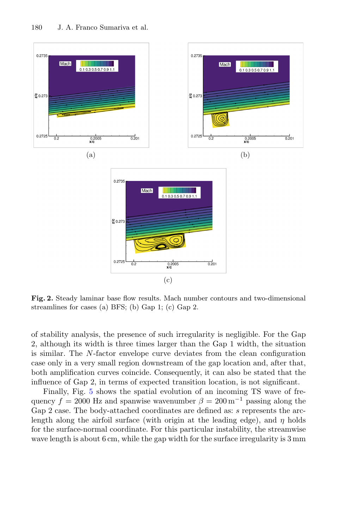

<span id="page-6-0"></span>**Fig. 2.** Steady laminar base flow results. Mach number contours and two-dimensional streamlines for cases (a) BFS; (b) Gap 1; (c) Gap 2.

of stability analysis, the presence of such irregularity is negligible. For the Gap 2, although its width is three times larger than the Gap 1 width, the situation is similar. The N-factor envelope curve deviates from the clean configuration case only in a very small region downstream of the gap location and, after that, both amplification curves coincide. Consequently, it can also be stated that the influence of Gap 2, in terms of expected transition location, is not significant.

Finally, Fig. [5](#page-8-0) shows the spatial evolution of an incoming TS wave of frequency  $f = 2000$  Hz and spanwise wavenumber  $\beta = 200$  m<sup>-1</sup> passing along the Gap 2 case. The body-attached coordinates are defined as: s represents the arclength along the airfoil surface (with origin at the leading edge), and  $\eta$  holds for the surface-normal coordinate. For this particular instability, the streamwise wave length is about 6 cm, while the gap width for the surface irregularity is 3 mm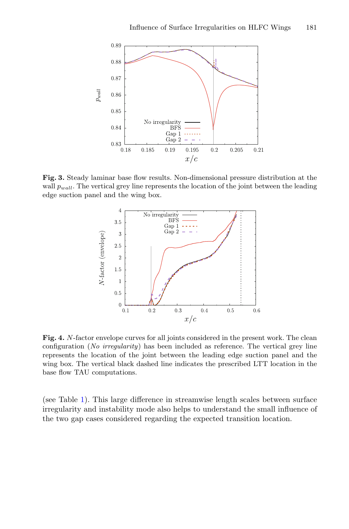

<span id="page-7-0"></span>**Fig. 3.** Steady laminar base flow results. Non-dimensional pressure distribution at the wall  $p_{wall}$ . The vertical grey line represents the location of the joint between the leading edge suction panel and the wing box.



<span id="page-7-1"></span>**Fig. 4.** N-factor envelope curves for all joints considered in the present work. The clean configuration (*No irregularity*) has been included as reference. The vertical grey line represents the location of the joint between the leading edge suction panel and the wing box. The vertical black dashed line indicates the prescribed LTT location in the base flow TAU computations.

(see Table [1\)](#page-4-1). This large difference in streamwise length scales between surface irregularity and instability mode also helps to understand the small influence of the two gap cases considered regarding the expected transition location.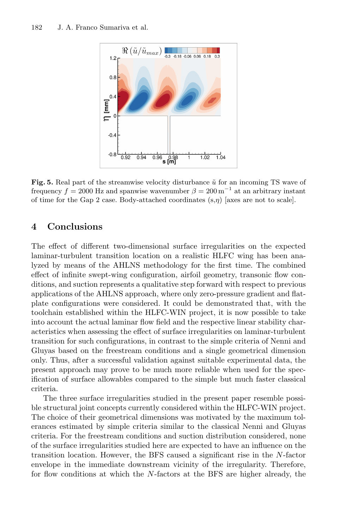

<span id="page-8-0"></span>**Fig. 5.** Real part of the streamwise velocity disturbance  $\tilde{u}$  for an incoming TS wave of frequency  $f = 2000$  Hz and spanwise wavenumber  $\beta = 200 \,\mathrm{m}^{-1}$  at an arbitrary instant of time for the Gap 2 case. Body-attached coordinates  $(s, \eta)$  [axes are not to scale].

## **4 Conclusions**

The effect of different two-dimensional surface irregularities on the expected laminar-turbulent transition location on a realistic HLFC wing has been analyzed by means of the AHLNS methodology for the first time. The combined effect of infinite swept-wing configuration, airfoil geometry, transonic flow conditions, and suction represents a qualitative step forward with respect to previous applications of the AHLNS approach, where only zero-pressure gradient and flatplate configurations were considered. It could be demonstrated that, with the toolchain established within the HLFC-WIN project, it is now possible to take into account the actual laminar flow field and the respective linear stability characteristics when assessing the effect of surface irregularities on laminar-turbulent transition for such configurations, in contrast to the simple criteria of Nenni and Gluyas based on the freestream conditions and a single geometrical dimension only. Thus, after a successful validation against suitable experimental data, the present approach may prove to be much more reliable when used for the specification of surface allowables compared to the simple but much faster classical criteria.

The three surface irregularities studied in the present paper resemble possible structural joint concepts currently considered within the HLFC-WIN project. The choice of their geometrical dimensions was motivated by the maximum tolerances estimated by simple criteria similar to the classical Nenni and Gluyas criteria. For the freestream conditions and suction distribution considered, none of the surface irregularities studied here are expected to have an influence on the transition location. However, the BFS caused a significant rise in the N-factor envelope in the immediate downstream vicinity of the irregularity. Therefore, for flow conditions at which the N-factors at the BFS are higher already, the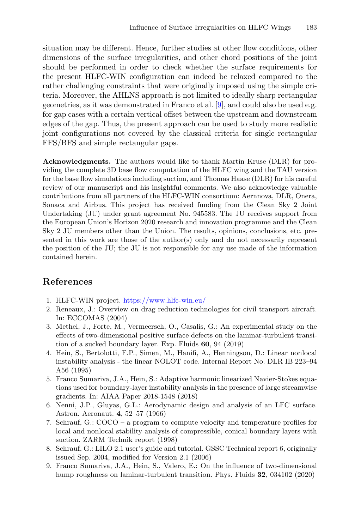situation may be different. Hence, further studies at other flow conditions, other dimensions of the surface irregularities, and other chord positions of the joint should be performed in order to check whether the surface requirements for the present HLFC-WIN configuration can indeed be relaxed compared to the rather challenging constraints that were originally imposed using the simple criteria. Moreover, the AHLNS approach is not limited to ideally sharp rectangular geometries, as it was demonstrated in Franco et al. [\[9\]](#page-9-8), and could also be used e.g. for gap cases with a certain vertical offset between the upstream and downstream edges of the gap. Thus, the present approach can be used to study more realistic joint configurations not covered by the classical criteria for single rectangular FFS/BFS and simple rectangular gaps.

**Acknowledgments.** The authors would like to thank Martin Kruse (DLR) for providing the complete 3D base flow computation of the HLFC wing and the TAU version for the base flow simulations including suction, and Thomas Haase (DLR) for his careful review of our manuscript and his insightful comments. We also acknowledge valuable contributions from all partners of the HLFC-WIN consortium: Aernnova, DLR, Onera, Sonaca and Airbus. This project has received funding from the Clean Sky 2 Joint Undertaking (JU) under grant agreement No. 945583. The JU receives support from the European Union's Horizon 2020 research and innovation programme and the Clean Sky 2 JU members other than the Union. The results, opinions, conclusions, etc. presented in this work are those of the author(s) only and do not necessarily represent the position of the JU; the JU is not responsible for any use made of the information contained herein.

# **References**

- <span id="page-9-0"></span>1. HLFC-WIN project. <https://www.hlfc-win.eu/>
- <span id="page-9-1"></span>2. Reneaux, J.: Overview on drag reduction technologies for civil transport aircraft. In: ECCOMAS (2004)
- <span id="page-9-2"></span>3. Methel, J., Forte, M., Vermeersch, O., Casalis, G.: An experimental study on the effects of two-dimensional positive surface defects on the laminar-turbulent transition of a sucked boundary layer. Exp. Fluids **60**, 94 (2019)
- <span id="page-9-3"></span>4. Hein, S., Bertolotti, F.P., Simen, M., Hanifi, A., Henningson, D.: Linear nonlocal instability analysis - the linear NOLOT code. Internal Report No. DLR IB 223–94 A56 (1995)
- <span id="page-9-4"></span>5. Franco Sumariva, J.A., Hein, S.: Adaptive harmonic linearized Navier-Stokes equations used for boundary-layer instability analysis in the presence of large streamwise gradients. In: AIAA Paper 2018-1548 (2018)
- <span id="page-9-5"></span>6. Nenni, J.P., Gluyas, G.L.: Aerodynamic design and analysis of an LFC surface. Astron. Aeronaut. **4**, 52–57 (1966)
- <span id="page-9-6"></span>7. Schrauf, G.: COCO – a program to compute velocity and temperature profiles for local and nonlocal stability analysis of compressible, conical boundary layers with suction. ZARM Technik report (1998)
- <span id="page-9-7"></span>8. Schrauf, G.: LILO 2.1 user's guide and tutorial. GSSC Technical report 6, originally issued Sep. 2004, modified for Version 2.1 (2006)
- <span id="page-9-8"></span>9. Franco Sumariva, J.A., Hein, S., Valero, E.: On the influence of two-dimensional hump roughness on laminar-turbulent transition. Phys. Fluids **32**, 034102 (2020)